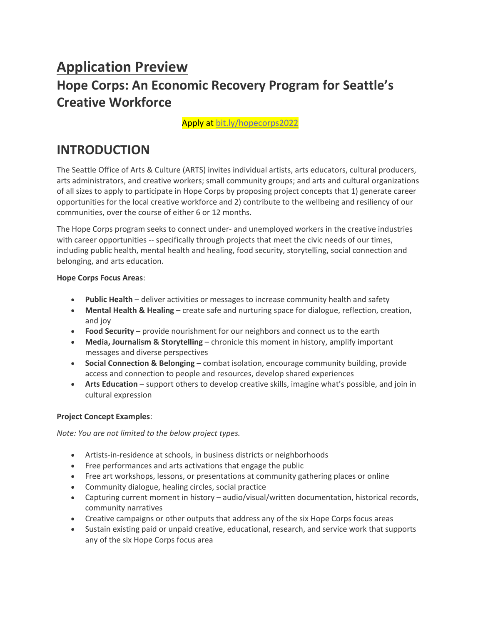# **Application Preview Hope Corps: An Economic Recovery Program for Seattle's Creative Workforce**

Apply at [bit.ly/hopecorps2022](https://bit.ly/hopecorps2022)

## **INTRODUCTION**

The Seattle Office of Arts & Culture (ARTS) invites individual artists, arts educators, cultural producers, arts administrators, and creative workers; small community groups; and arts and cultural organizations of all sizes to apply to participate in Hope Corps by proposing project concepts that 1) generate career opportunities for the local creative workforce and 2) contribute to the wellbeing and resiliency of our communities, over the course of either 6 or 12 months.

The Hope Corps program seeks to connect under- and unemployed workers in the creative industries with career opportunities -- specifically through projects that meet the civic needs of our times, including public health, mental health and healing, food security, storytelling, social connection and belonging, and arts education.

#### **Hope Corps Focus Areas**:

- **Public Health** deliver activities or messages to increase community health and safety
- **Mental Health & Healing** create safe and nurturing space for dialogue, reflection, creation, and joy
- **Food Security** provide nourishment for our neighbors and connect us to the earth
- **Media, Journalism & Storytelling** chronicle this moment in history, amplify important messages and diverse perspectives
- **Social Connection & Belonging** combat isolation, encourage community building, provide access and connection to people and resources, develop shared experiences
- **Arts Education** support others to develop creative skills, imagine what's possible, and join in cultural expression

#### **Project Concept Examples**:

*Note: You are not limited to the below project types.*

- Artists-in-residence at schools, in business districts or neighborhoods
- Free performances and arts activations that engage the public
- Free art workshops, lessons, or presentations at community gathering places or online
- Community dialogue, healing circles, social practice
- Capturing current moment in history audio/visual/written documentation, historical records, community narratives
- Creative campaigns or other outputs that address any of the six Hope Corps focus areas
- Sustain existing paid or unpaid creative, educational, research, and service work that supports any of the six Hope Corps focus area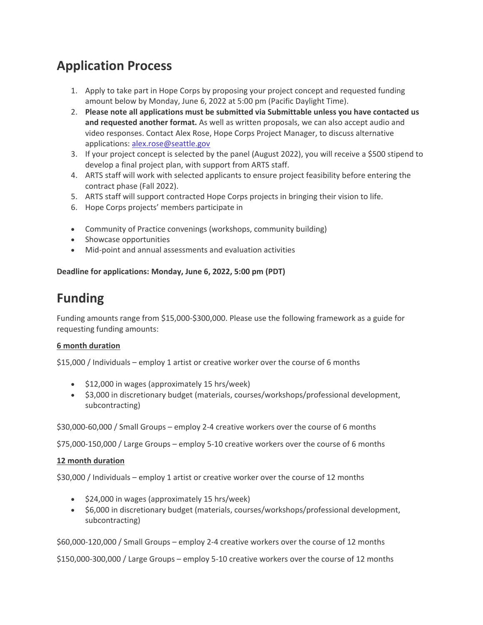# **Application Process**

- 1. Apply to take part in Hope Corps by proposing your project concept and requested funding amount below by Monday, June 6, 2022 at 5:00 pm (Pacific Daylight Time).
- 2. **Please note all applications must be submitted via Submittable unless you have contacted us and requested another format.** As well as written proposals, we can also accept audio and video responses. Contact Alex Rose, Hope Corps Project Manager, to discuss alternative applications: [alex.rose@seattle.gov](mailto:alex.rose@seattle.gov)
- 3. If your project concept is selected by the panel (August 2022), you will receive a \$500 stipend to develop a final project plan, with support from ARTS staff.
- 4. ARTS staff will work with selected applicants to ensure project feasibility before entering the contract phase (Fall 2022).
- 5. ARTS staff will support contracted Hope Corps projects in bringing their vision to life.
- 6. Hope Corps projects' members participate in
- Community of Practice convenings (workshops, community building)
- Showcase opportunities
- Mid-point and annual assessments and evaluation activities

#### **Deadline for applications: Monday, June 6, 2022, 5:00 pm (PDT)**

# **Funding**

Funding amounts range from \$15,000-\$300,000. Please use the following framework as a guide for requesting funding amounts:

#### **6 month duration**

\$15,000 / Individuals – employ 1 artist or creative worker over the course of 6 months

- \$12,000 in wages (approximately 15 hrs/week)
- \$3,000 in discretionary budget (materials, courses/workshops/professional development, subcontracting)

\$30,000-60,000 / Small Groups – employ 2-4 creative workers over the course of 6 months

\$75,000-150,000 / Large Groups – employ 5-10 creative workers over the course of 6 months

#### **12 month duration**

\$30,000 / Individuals – employ 1 artist or creative worker over the course of 12 months

- \$24,000 in wages (approximately 15 hrs/week)
- \$6,000 in discretionary budget (materials, courses/workshops/professional development, subcontracting)

\$60,000-120,000 / Small Groups – employ 2-4 creative workers over the course of 12 months

\$150,000-300,000 / Large Groups – employ 5-10 creative workers over the course of 12 months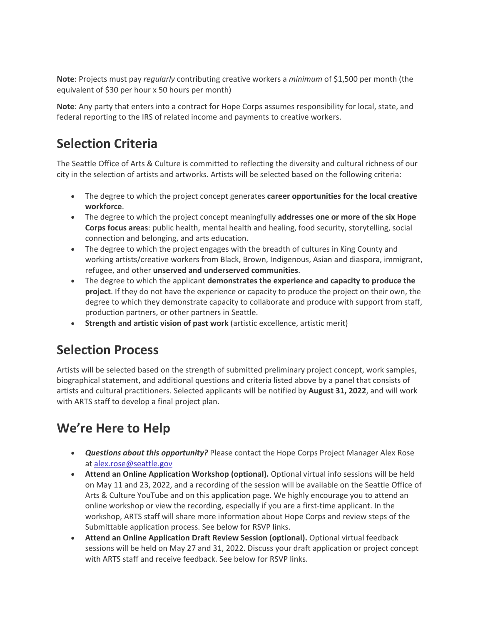**Note**: Projects must pay *regularly* contributing creative workers a *minimum* of \$1,500 per month (the equivalent of \$30 per hour x 50 hours per month)

**Note**: Any party that enters into a contract for Hope Corps assumes responsibility for local, state, and federal reporting to the IRS of related income and payments to creative workers.

# **Selection Criteria**

The Seattle Office of Arts & Culture is committed to reflecting the diversity and cultural richness of our city in the selection of artists and artworks. Artists will be selected based on the following criteria:

- The degree to which the project concept generates **career opportunities for the local creative workforce**.
- The degree to which the project concept meaningfully **addresses one or more of the six Hope Corps focus areas**: public health, mental health and healing, food security, storytelling, social connection and belonging, and arts education.
- The degree to which the project engages with the breadth of cultures in King County and working artists/creative workers from Black, Brown, Indigenous, Asian and diaspora, immigrant, refugee, and other **unserved and underserved communities**.
- The degree to which the applicant **demonstrates the experience and capacity to produce the project**. If they do not have the experience or capacity to produce the project on their own, the degree to which they demonstrate capacity to collaborate and produce with support from staff, production partners, or other partners in Seattle.
- **Strength and artistic vision of past work** (artistic excellence, artistic merit)

# **Selection Process**

Artists will be selected based on the strength of submitted preliminary project concept, work samples, biographical statement, and additional questions and criteria listed above by a panel that consists of artists and cultural practitioners. Selected applicants will be notified by **August 31, 2022**, and will work with ARTS staff to develop a final project plan.

# **We're Here to Help**

- *Questions about this opportunity?* Please contact the Hope Corps Project Manager Alex Rose at [alex.rose@seattle.gov](mailto:alex.rose@seattle.gov)
- **Attend an Online Application Workshop (optional).** Optional virtual info sessions will be held on May 11 and 23, 2022, and a recording of the session will be available on the Seattle Office of Arts & Culture YouTube and on this application page. We highly encourage you to attend an online workshop or view the recording, especially if you are a first-time applicant. In the workshop, ARTS staff will share more information about Hope Corps and review steps of the Submittable application process. See below for RSVP links.
- **Attend an Online Application Draft Review Session (optional).** Optional virtual feedback sessions will be held on May 27 and 31, 2022. Discuss your draft application or project concept with ARTS staff and receive feedback. See below for RSVP links.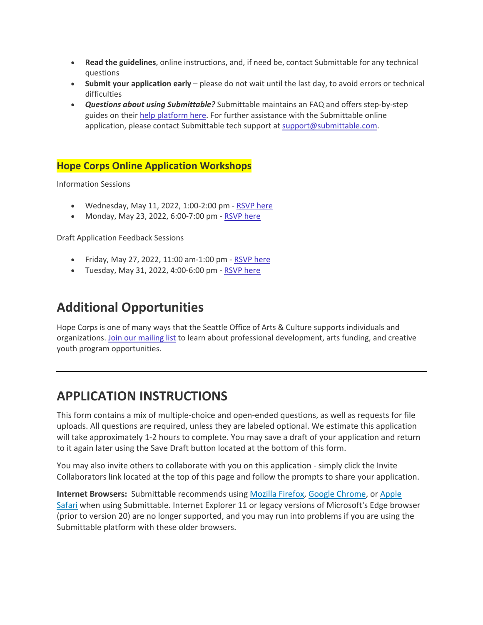- **Read the guidelines**, online instructions, and, if need be, contact Submittable for any technical questions
- **Submit your application early** please do not wait until the last day, to avoid errors or technical difficulties
- *Questions about using Submittable?* Submittable maintains an FAQ and offers step-by-step guides on their [help platform here.](https://www.submittable.com/help/submitter/) For further assistance with the Submittable online application, please contact Submittable tech support at [support@submittable.com.](mailto:support@submittable.com)

## **Hope Corps Online Application Workshops**

Information Sessions

- Wednesday, May 11, 2022, 1:00-2:00 pm [RSVP here](https://hopecorpsws1.eventbrite.com/)
- Monday, May 23, 2022, 6:00-7:00 pm [RSVP here](https://hopecorpsws2.eventbrite.com/)

Draft Application Feedback Sessions

- Friday, May 27, 2022, 11:00 am-1:00 pm [RSVP here](https://hopecorpsreview1.eventbrite.com/)
- Tuesday, May 31, 2022, 4:00-6:00 pm [RSVP here](https://hopecorpsreview2.eventbrite.com/)

# **Additional Opportunities**

Hope Corps is one of many ways that the Seattle Office of Arts & Culture supports individuals and organizations. [Join our mailing list](https://public.govdelivery.com/accounts/WASEATTLE/subscriber/new?qsp=WASEATTLE_62) to learn about professional development, arts funding, and creative youth program opportunities.

# **APPLICATION INSTRUCTIONS**

This form contains a mix of multiple-choice and open-ended questions, as well as requests for file uploads. All questions are required, unless they are labeled optional. We estimate this application will take approximately 1-2 hours to complete. You may save a draft of your application and return to it again later using the Save Draft button located at the bottom of this form.

You may also invite others to collaborate with you on this application - simply click the Invite Collaborators link located at the top of this page and follow the prompts to share your application.

**Internet Browsers:** Submittable recommends using [Mozilla Firefox,](https://www.mozilla.org/en-US/firefox/new/) [Google Chrome,](https://www.google.com/chrome/) or Apple [Safari](https://support.apple.com/downloads/safari) when using Submittable. Internet Explorer 11 or legacy versions of Microsoft's Edge browser (prior to version 20) are no longer supported, and you may run into problems if you are using the Submittable platform with these older browsers.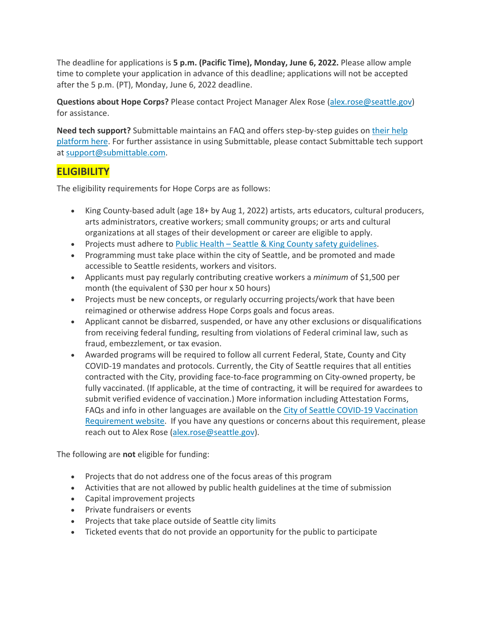The deadline for applications is **5 p.m. (Pacific Time), Monday, June 6, 2022.** Please allow ample time to complete your application in advance of this deadline; applications will not be accepted after the 5 p.m. (PT), Monday, June 6, 2022 deadline.

**Questions about Hope Corps?** Please contact Project Manager Alex Rose [\(alex.rose@seattle.gov\)](mailto:alex.rose@seattle.gov?subject=Hope%20Corps%20inquiry) for assistance.

**Need tech support?** Submittable maintains an FAQ and offers step-by-step guides on [their help](https://submittable.help/en/)  [platform here.](https://submittable.help/en/) For further assistance in using Submittable, please contact Submittable tech support at [support@submittable.com.](mailto:support@submittable.com)

## **ELIGIBILITY**

The eligibility requirements for Hope Corps are as follows:

- King County-based adult (age 18+ by Aug 1, 2022) artists, arts educators, cultural producers, arts administrators, creative workers; small community groups; or arts and cultural organizations at all stages of their development or career are eligible to apply.
- Projects must adhere to Public Health [Seattle & King County safety guidelines.](https://kingcounty.gov/depts/health.aspx)
- Programming must take place within the city of Seattle, and be promoted and made accessible to Seattle residents, workers and visitors.
- Applicants must pay regularly contributing creative workers a *minimum* of \$1,500 per month (the equivalent of \$30 per hour x 50 hours)
- Projects must be new concepts, or regularly occurring projects/work that have been reimagined or otherwise address Hope Corps goals and focus areas.
- Applicant cannot be disbarred, suspended, or have any other exclusions or disqualifications from receiving federal funding, resulting from violations of Federal criminal law, such as fraud, embezzlement, or tax evasion.
- Awarded programs will be required to follow all current Federal, State, County and City COVID-19 mandates and protocols. Currently, the City of Seattle requires that all entities contracted with the City, providing face-to-face programming on City-owned property, be fully vaccinated. (If applicable, at the time of contracting, it will be required for awardees to submit verified evidence of vaccination.) More information including Attestation Forms, FAQs and info in other languages are available on the [City of Seattle COVID-19 Vaccination](https://www.seattle.gov/purchasing-and-contracting/doing-business-with-the-city/covid-19-vaccination-requirements)  [Requirement website](https://www.seattle.gov/purchasing-and-contracting/doing-business-with-the-city/covid-19-vaccination-requirements).  If you have any questions or concerns about this requirement, please reach out to Alex Rose [\(alex.rose@seattle.gov\)](mailto:alex.rose@seattle.gov?subject=Hope%20Corps%20inquiry).

The following are **not** eligible for funding:

- Projects that do not address one of the focus areas of this program
- Activities that are not allowed by public health guidelines at the time of submission
- Capital improvement projects
- Private fundraisers or events
- Projects that take place outside of Seattle city limits
- Ticketed events that do not provide an opportunity for the public to participate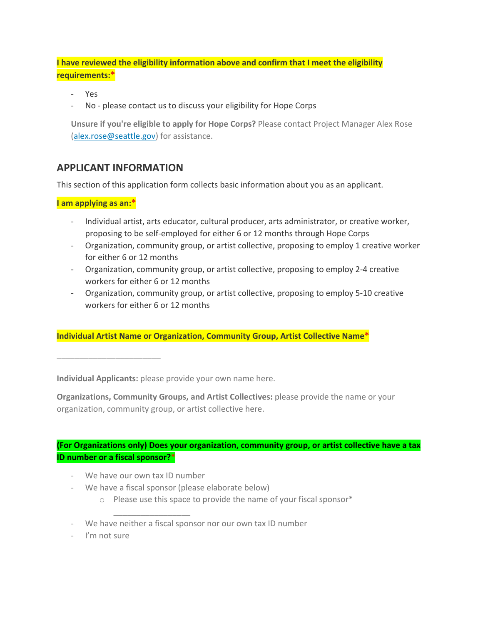**I have reviewed the eligibility information above and confirm that I meet the eligibility requirements:\***

- Yes
- No please contact us to discuss your eligibility for Hope Corps

**Unsure if you're eligible to apply for Hope Corps?** Please contact Project Manager Alex Rose [\(alex.rose@seattle.gov\)](mailto:alex.rose@seattle.gov?subject=Hope%20Corps%20inquiry) for assistance.

## **APPLICANT INFORMATION**

This section of this application form collects basic information about you as an applicant.

**I am applying as an:\***

\_\_\_\_\_\_\_\_\_\_\_\_\_\_\_\_\_\_\_\_\_\_\_

- Individual artist, arts educator, cultural producer, arts administrator, or creative worker, proposing to be self-employed for either 6 or 12 months through Hope Corps
- Organization, community group, or artist collective, proposing to employ 1 creative worker for either 6 or 12 months
- Organization, community group, or artist collective, proposing to employ 2-4 creative workers for either 6 or 12 months
- Organization, community group, or artist collective, proposing to employ 5-10 creative workers for either 6 or 12 months

**Individual Artist Name or Organization, Community Group, Artist Collective Name\***

**Individual Applicants:** please provide your own name here.

**Organizations, Community Groups, and Artist Collectives:** please provide the name or your organization, community group, or artist collective here.

### **(For Organizations only) Does your organization, community group, or artist collective have a tax ID number or a fiscal sponsor?\***

- We have our own tax ID number

\_\_\_\_\_\_\_\_\_\_\_\_\_\_\_\_\_

- We have a fiscal sponsor (please elaborate below)
	- o Please use this space to provide the name of your fiscal sponsor\*
- We have neither a fiscal sponsor nor our own tax ID number
- I'm not sure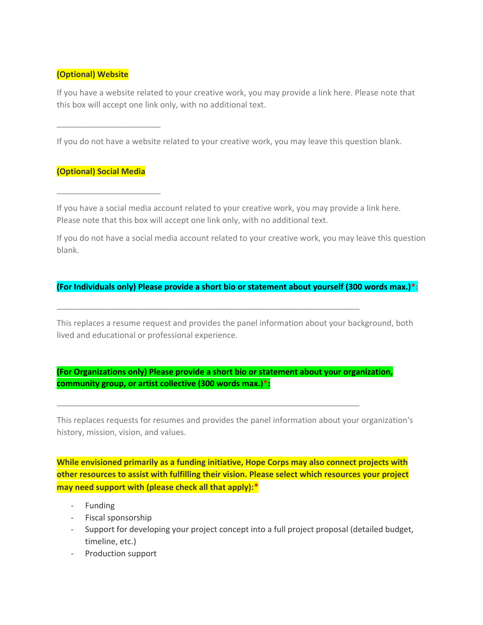### **(Optional) Website**

If you have a website related to your creative work, you may provide a link here. Please note that this box will accept one link only, with no additional text.

If you do not have a website related to your creative work, you may leave this question blank.

### **(Optional) Social Media**

\_\_\_\_\_\_\_\_\_\_\_\_\_\_\_\_\_\_\_\_\_\_\_

 $\frac{1}{2}$  ,  $\frac{1}{2}$  ,  $\frac{1}{2}$  ,  $\frac{1}{2}$  ,  $\frac{1}{2}$  ,  $\frac{1}{2}$  ,  $\frac{1}{2}$  ,  $\frac{1}{2}$  ,  $\frac{1}{2}$  ,  $\frac{1}{2}$  ,  $\frac{1}{2}$  ,  $\frac{1}{2}$  ,  $\frac{1}{2}$  ,  $\frac{1}{2}$  ,  $\frac{1}{2}$  ,  $\frac{1}{2}$  ,  $\frac{1}{2}$  ,  $\frac{1}{2}$  ,  $\frac{1$ 

If you have a social media account related to your creative work, you may provide a link here. Please note that this box will accept one link only, with no additional text.

If you do not have a social media account related to your creative work, you may leave this question blank.

#### **(For Individuals only) Please provide a short bio or statement about yourself (300 words max.)\*:**

This replaces a resume request and provides the panel information about your background, both lived and educational or professional experience.

### **(For Organizations only) Please provide a short bio or statement about your organization, community group, or artist collective (300 words max.)\*:**

\_\_\_\_\_\_\_\_\_\_\_\_\_\_\_\_\_\_\_\_\_\_\_\_\_\_\_\_\_\_\_\_\_\_\_\_\_\_\_\_\_\_\_\_\_\_\_\_\_\_\_\_\_\_\_\_\_\_\_\_\_\_\_\_\_\_\_

\_\_\_\_\_\_\_\_\_\_\_\_\_\_\_\_\_\_\_\_\_\_\_\_\_\_\_\_\_\_\_\_\_\_\_\_\_\_\_\_\_\_\_\_\_\_\_\_\_\_\_\_\_\_\_\_\_\_\_\_\_\_\_\_\_\_\_

This replaces requests for resumes and provides the panel information about your organization's history, mission, vision, and values.

**While envisioned primarily as a funding initiative, Hope Corps may also connect projects with other resources to assist with fulfilling their vision. Please select which resources your project may need support with (please check all that apply):\***

- Funding
- Fiscal sponsorship
- Support for developing your project concept into a full project proposal (detailed budget, timeline, etc.)
- Production support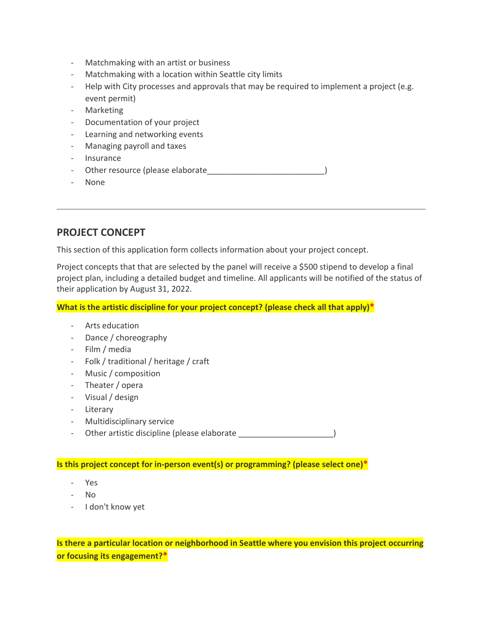- Matchmaking with an artist or business
- Matchmaking with a location within Seattle city limits
- Help with City processes and approvals that may be required to implement a project (e.g. event permit)
- Marketing
- Documentation of your project
- Learning and networking events
- Managing payroll and taxes
- Insurance
- Other resource (please elaborate entitled and the set of  $\vert$
- None

## **PROJECT CONCEPT**

This section of this application form collects information about your project concept.

Project concepts that that are selected by the panel will receive a \$500 stipend to develop a final project plan, including a detailed budget and timeline. All applicants will be notified of the status of their application by August 31, 2022.

**What is the artistic discipline for your project concept? (please check all that apply)\***

- Arts education
- Dance / choreography
- Film / media
- Folk / traditional / heritage / craft
- Music / composition
- Theater / opera
- Visual / design
- Literary
- Multidisciplinary service
- Other artistic discipline (please elaborate \_\_\_\_\_\_\_\_\_\_\_\_\_\_\_\_\_\_\_\_\_\_\_\_\_\_\_\_\_\_\_\_\_\_

**Is this project concept for in-person event(s) or programming? (please select one)\***

- Yes
- No
- I don't know yet

**Is there a particular location or neighborhood in Seattle where you envision this project occurring or focusing its engagement?\***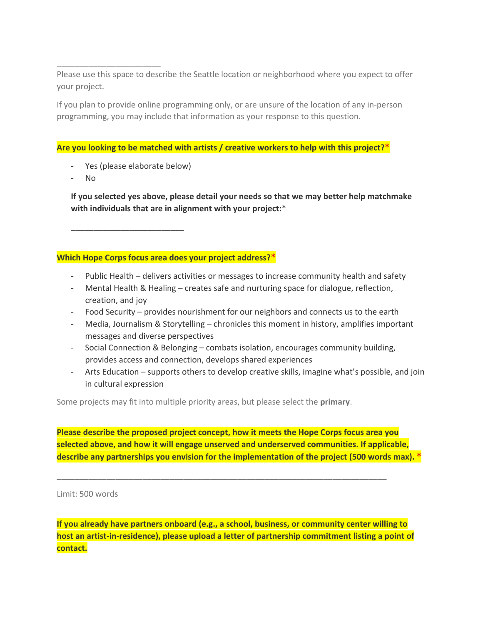Please use this space to describe the Seattle location or neighborhood where you expect to offer your project.

If you plan to provide online programming only, or are unsure of the location of any in-person programming, you may include that information as your response to this question.

#### **Are you looking to be matched with artists / creative workers to help with this project?\***

Yes (please elaborate below)

\_\_\_\_\_\_\_\_\_\_\_\_\_\_\_\_\_\_\_\_\_\_\_\_\_

\_\_\_\_\_\_\_\_\_\_\_\_\_\_\_\_\_\_\_\_\_\_\_

- No

**If you selected yes above, please detail your needs so that we may better help matchmake with individuals that are in alignment with your project:**\*

**Which Hope Corps focus area does your project address?\***

- Public Health delivers activities or messages to increase community health and safety
- Mental Health & Healing creates safe and nurturing space for dialogue, reflection, creation, and joy
- Food Security provides nourishment for our neighbors and connects us to the earth
- Media, Journalism & Storytelling chronicles this moment in history, amplifies important messages and diverse perspectives
- Social Connection & Belonging combats isolation, encourages community building, provides access and connection, develops shared experiences
- Arts Education supports others to develop creative skills, imagine what's possible, and join in cultural expression

Some projects may fit into multiple priority areas, but please select the **primary**.

**Please describe the proposed project concept, how it meets the Hope Corps focus area you selected above, and how it will engage unserved and underserved communities. If applicable, describe any partnerships you envision for the implementation of the project (500 words max). \***

\_\_\_\_\_\_\_\_\_\_\_\_\_\_\_\_\_\_\_\_\_\_\_\_\_\_\_\_\_\_\_\_\_\_\_\_\_\_\_\_\_\_\_\_\_\_\_\_\_\_\_\_\_\_\_\_\_\_\_\_\_\_\_\_\_\_\_\_\_\_\_\_\_

Limit: 500 words

**If you already have partners onboard (e.g., a school, business, or community center willing to host an artist-in-residence), please upload a letter of partnership commitment listing a point of contact.**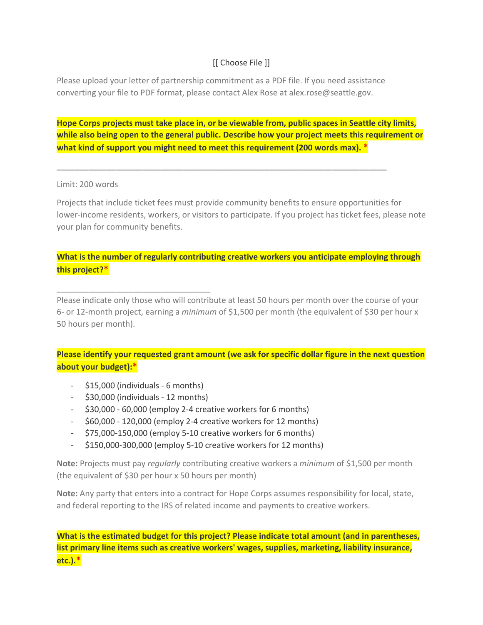## [[ Choose File ]]

Please upload your letter of partnership commitment as a PDF file. If you need assistance converting your file to PDF format, please contact Alex Rose at alex.rose@seattle.gov.

\_\_\_\_\_\_\_\_\_\_\_\_\_\_\_\_\_\_\_\_\_\_\_\_\_\_\_\_\_\_\_\_\_\_\_\_\_\_\_\_\_\_\_\_\_\_\_\_\_\_\_\_\_\_\_\_\_\_\_\_\_\_\_\_\_\_\_\_\_\_\_\_\_

**Hope Corps projects must take place in, or be viewable from, public spaces in Seattle city limits, while also being open to the general public. Describe how your project meets this requirement or what kind of support you might need to meet this requirement (200 words max). \***

#### Limit: 200 words

Projects that include ticket fees must provide community benefits to ensure opportunities for lower-income residents, workers, or visitors to participate. If you project has ticket fees, please note your plan for community benefits.

### **What is the number of regularly contributing creative workers you anticipate employing through this project?\***

Please indicate only those who will contribute at least 50 hours per month over the course of your 6- or 12-month project, earning a *minimum* of \$1,500 per month (the equivalent of \$30 per hour x 50 hours per month).

### **Please identify your requested grant amount (we ask for specific dollar figure in the next question about your budget):\***

- \$15,000 (individuals - 6 months)

\_\_\_\_\_\_\_\_\_\_\_\_\_\_\_\_\_\_\_\_\_\_\_\_\_\_\_\_\_\_\_\_\_\_

- \$30,000 (individuals 12 months)
- \$30,000 60,000 (employ 2-4 creative workers for 6 months)
- \$60,000 120,000 (employ 2-4 creative workers for 12 months)
- \$75,000-150,000 (employ 5-10 creative workers for 6 months)
- \$150,000-300,000 (employ 5-10 creative workers for 12 months)

**Note:** Projects must pay *regularly* contributing creative workers a *minimum* of \$1,500 per month (the equivalent of \$30 per hour x 50 hours per month)

**Note:** Any party that enters into a contract for Hope Corps assumes responsibility for local, state, and federal reporting to the IRS of related income and payments to creative workers.

**What is the estimated budget for this project? Please indicate total amount (and in parentheses, list primary line items such as creative workers' wages, supplies, marketing, liability insurance, etc.).\***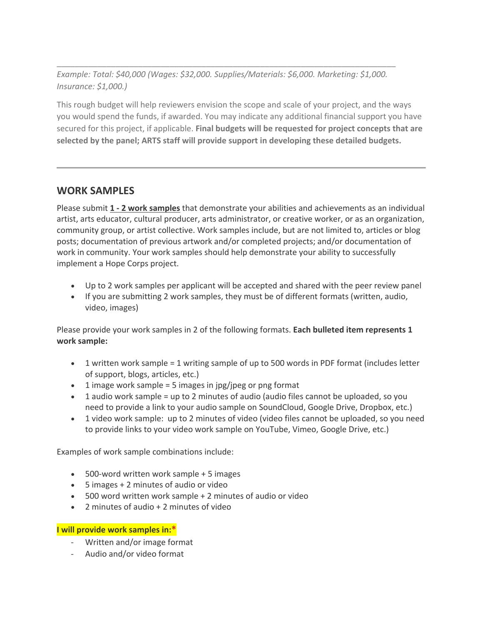*Example: Total: \$40,000 (Wages: \$32,000. Supplies/Materials: \$6,000. Marketing: \$1,000. Insurance: \$1,000.)*

\_\_\_\_\_\_\_\_\_\_\_\_\_\_\_\_\_\_\_\_\_\_\_\_\_\_\_\_\_\_\_\_\_\_\_\_\_\_\_\_\_\_\_\_\_\_\_\_\_\_\_\_\_\_\_\_\_\_\_\_\_\_\_\_\_\_\_\_\_\_\_\_\_\_\_

This rough budget will help reviewers envision the scope and scale of your project, and the ways you would spend the funds, if awarded. You may indicate any additional financial support you have secured for this project, if applicable. **Final budgets will be requested for project concepts that are selected by the panel; ARTS staff will provide support in developing these detailed budgets.**

## **WORK SAMPLES**

Please submit **1 - 2 work samples** that demonstrate your abilities and achievements as an individual artist, arts educator, cultural producer, arts administrator, or creative worker, or as an organization, community group, or artist collective. Work samples include, but are not limited to, articles or blog posts; documentation of previous artwork and/or completed projects; and/or documentation of work in community. Your work samples should help demonstrate your ability to successfully implement a Hope Corps project.

- Up to 2 work samples per applicant will be accepted and shared with the peer review panel
- If you are submitting 2 work samples, they must be of different formats (written, audio, video, images)

Please provide your work samples in 2 of the following formats. **Each bulleted item represents 1 work sample:**

- 1 written work sample = 1 writing sample of up to 500 words in PDF format (includes letter of support, blogs, articles, etc.)
- $\bullet$  1 image work sample = 5 images in jpg/jpeg or png format
- 1 audio work sample = up to 2 minutes of audio (audio files cannot be uploaded, so you need to provide a link to your audio sample on SoundCloud, Google Drive, Dropbox, etc.)
- 1 video work sample: up to 2 minutes of video (video files cannot be uploaded, so you need to provide links to your video work sample on YouTube, Vimeo, Google Drive, etc.)

Examples of work sample combinations include:

- 500-word written work sample + 5 images
- 5 images + 2 minutes of audio or video
- 500 word written work sample + 2 minutes of audio or video
- 2 minutes of audio + 2 minutes of video

#### **I will provide work samples in:\***

- Written and/or image format
- Audio and/or video format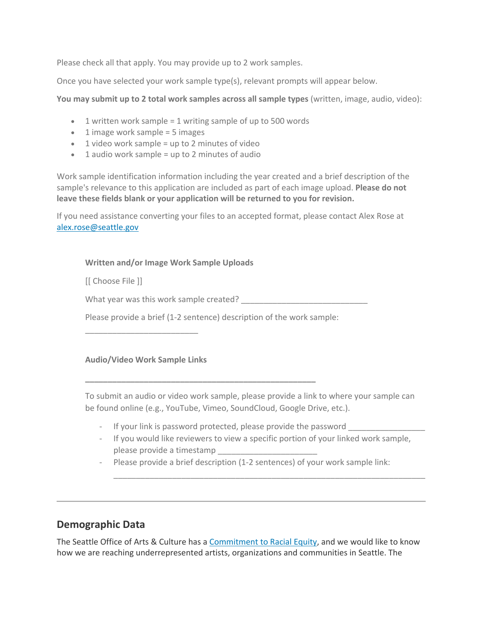Please check all that apply. You may provide up to 2 work samples.

Once you have selected your work sample type(s), relevant prompts will appear below.

**You may submit up to 2 total work samples across all sample types** (written, image, audio, video):

- 1 written work sample = 1 writing sample of up to 500 words
- $\bullet$  1 image work sample = 5 images
- $\bullet$  1 video work sample = up to 2 minutes of video
- $\bullet$  1 audio work sample = up to 2 minutes of audio

Work sample identification information including the year created and a brief description of the sample's relevance to this application are included as part of each image upload. **Please do not leave these fields blank or your application will be returned to you for revision.**

If you need assistance converting your files to an accepted format, please contact Alex Rose at [alex.rose@seattle.gov](mailto:alex.rose@seattle.gov?subject=Hope%20Corps%20inquiry)

#### **Written and/or Image Work Sample Uploads**

[[ Choose File ]]

What year was this work sample created?

Please provide a brief (1-2 sentence) description of the work sample:

**\_\_\_\_\_\_\_\_\_\_\_\_\_\_\_\_\_\_\_\_\_\_\_\_\_\_\_\_\_\_\_\_\_\_\_\_\_\_\_\_\_\_\_\_\_\_\_\_\_\_\_**

#### **Audio/Video Work Sample Links**

\_\_\_\_\_\_\_\_\_\_\_\_\_\_\_\_\_\_\_\_\_\_\_\_\_

To submit an audio or video work sample, please provide a link to where your sample can be found online (e.g., YouTube, Vimeo, SoundCloud, Google Drive, etc.).

- If your link is password protected, please provide the password
- If you would like reviewers to view a specific portion of your linked work sample, please provide a timestamp \_\_\_\_\_\_\_\_\_\_\_\_\_\_\_\_\_\_\_\_\_\_

\_\_\_\_\_\_\_\_\_\_\_\_\_\_\_\_\_\_\_\_\_\_\_\_\_\_\_\_\_\_\_\_\_\_\_\_\_\_\_\_\_\_\_\_\_\_\_\_\_\_\_\_\_\_\_\_\_\_\_\_\_\_\_\_\_\_\_\_\_

- Please provide a brief description (1-2 sentences) of your work sample link:

## **Demographic Data**

The Seattle Office of Arts & Culture has a [Commitment to Racial Equity,](http://www.seattle.gov/arts/programs/racial-equity) and we would like to know how we are reaching underrepresented artists, organizations and communities in Seattle. The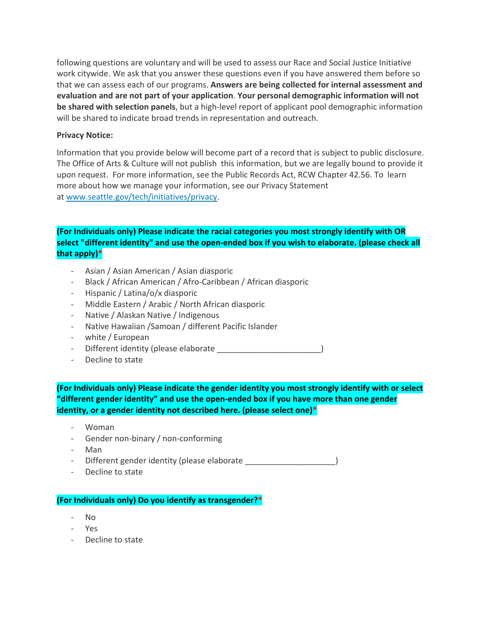following questions are voluntary and will be used to assess our Race and Social Justice Initiative work citywide. We ask that you answer these questions even if you have answered them before so that we can assess each of our programs. **Answers are being collected for internal assessment and evaluation and are not part of your application**. **Your personal demographic information will not be shared with selection panels**, but a high-level report of applicant pool demographic information will be shared to indicate broad trends in representation and outreach.

#### **Privacy Notice:**

Information that you provide below will become part of a record that is subject to public disclosure. The Office of Arts & Culture will not publish this information, but we are legally bound to provide it upon request. For more information, see the Public Records Act, RCW Chapter 42.56. To learn more about how we manage your information, see our Privacy Statement at [www.seattle.gov/tech/initiatives/privacy.](http://www.seattle.gov/tech/initiatives/privacy)

### **(For Individuals only) Please indicate the racial categories you most strongly identify with OR select "different identity" and use the open-ended box if you wish to elaborate. (please check all that apply)\***

- Asian / Asian American / Asian diasporic
- Black / African American / Afro-Caribbean / African diasporic
- Hispanic / Latina/o/x diasporic
- Middle Eastern / Arabic / North African diasporic
- Native / Alaskan Native / Indigenous
- Native Hawaiian /Samoan / different Pacific Islander
- white / European
- Different identity (please elaborate \_\_\_\_\_\_\_\_\_\_\_\_\_\_\_\_\_\_\_\_\_\_\_)
- Decline to state

**(For Individuals only) Please indicate the gender identity you most strongly identify with or select "different gender identity" and use the open-ended box if you have more than one gender identity, or a gender identity not described here. (please select one)\***

- Woman
- Gender non-binary / non-conforming
- Man
- Different gender identity (please elaborate entity and  $($
- Decline to state

#### **(For Individuals only) Do you identify as transgender?\***

- No
- Yes
- Decline to state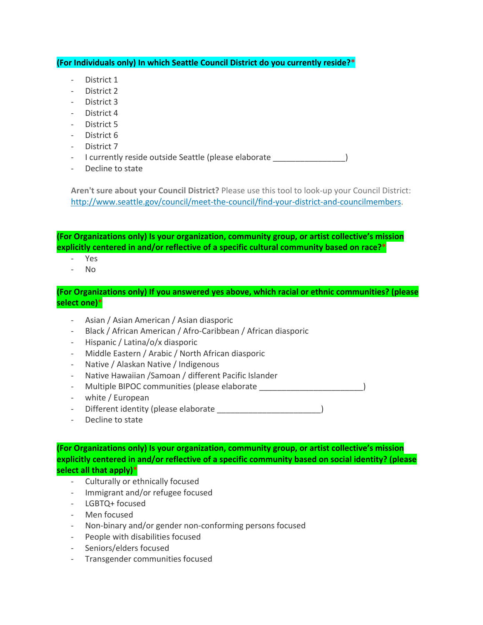**(For Individuals only) In which Seattle Council District do you currently reside?\***

- District 1
- District 2
- District 3
- District 4
- District 5
- District 6
- District 7

- I currently reside outside Seattle (please elaborate  $\qquad \qquad$ 

Decline to state

**Aren't sure about your Council District?** Please use this tool to look-up your Council District: [http://www.seattle.gov/council/meet-the-council/find-your-district-and-councilmembers.](http://www.seattle.gov/council/meet-the-council/find-your-district-and-councilmembers)

**(For Organizations only) Is your organization, community group, or artist collective's mission explicitly centered in and/or reflective of a specific cultural community based on race?\***

- Yes
- $N<sub>0</sub>$

**(For Organizations only) If you answered yes above, which racial or ethnic communities? (please select one)\***

- Asian / Asian American / Asian diasporic
- Black / African American / Afro-Caribbean / African diasporic
- Hispanic / Latina/o/x diasporic
- Middle Eastern / Arabic / North African diasporic
- Native / Alaskan Native / Indigenous
- Native Hawaiian /Samoan / different Pacific Islander
- Multiple BIPOC communities (please elaborate \_\_\_\_\_\_\_\_\_\_\_\_\_\_\_\_\_\_\_\_\_\_\_\_\_\_\_\_\_\_\_\_\_
- white / European
- Different identity (please elaborate \_\_\_\_\_\_\_\_\_\_\_\_\_\_\_\_\_\_\_\_\_\_\_\_)
- Decline to state

**(For Organizations only) Is your organization, community group, or artist collective's mission explicitly centered in and/or reflective of a specific community based on social identity? (please select all that apply)\***

- Culturally or ethnically focused
- Immigrant and/or refugee focused
- LGBTQ+ focused
- Men focused
- Non-binary and/or gender non-conforming persons focused
- People with disabilities focused
- Seniors/elders focused
- Transgender communities focused